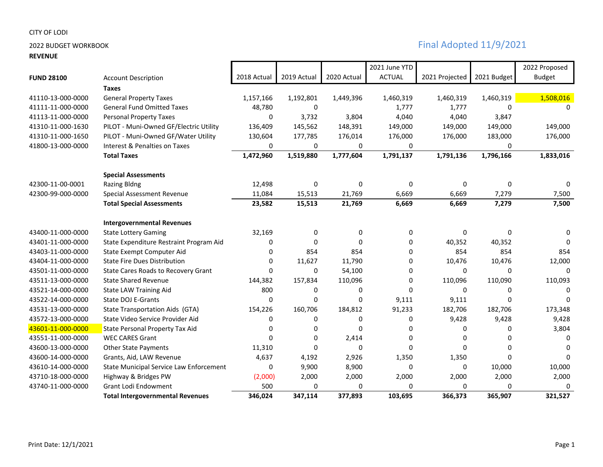## **REVENUE**

|                   |                                         |              |             |             | 2021 June YTD |                |             | 2022 Proposed |
|-------------------|-----------------------------------------|--------------|-------------|-------------|---------------|----------------|-------------|---------------|
| <b>FUND 28100</b> | <b>Account Description</b>              | 2018 Actual  | 2019 Actual | 2020 Actual | <b>ACTUAL</b> | 2021 Projected | 2021 Budget | <b>Budget</b> |
|                   | <b>Taxes</b>                            |              |             |             |               |                |             |               |
| 41110-13-000-0000 | <b>General Property Taxes</b>           | 1,157,166    | 1,192,801   | 1,449,396   | 1,460,319     | 1,460,319      | 1,460,319   | 1,508,016     |
| 41111-11-000-0000 | <b>General Fund Omitted Taxes</b>       | 48,780       | 0           |             | 1,777         | 1,777          | 0           | 0             |
| 41113-11-000-0000 | <b>Personal Property Taxes</b>          | $\mathbf{0}$ | 3,732       | 3,804       | 4,040         | 4,040          | 3,847       |               |
| 41310-11-000-1630 | PILOT - Muni-Owned GF/Electric Utility  | 136,409      | 145,562     | 148,391     | 149,000       | 149,000        | 149,000     | 149,000       |
| 41310-11-000-1650 | PILOT - Muni-Owned GF/Water Utility     | 130,604      | 177,785     | 176,014     | 176,000       | 176,000        | 183,000     | 176,000       |
| 41800-13-000-0000 | Interest & Penalties on Taxes           | 0            | 0           | 0           | 0             |                | 0           |               |
|                   | <b>Total Taxes</b>                      | 1,472,960    | 1,519,880   | 1,777,604   | 1,791,137     | 1,791,136      | 1,796,166   | 1,833,016     |
|                   | <b>Special Assessments</b>              |              |             |             |               |                |             |               |
| 42300-11-00-0001  | <b>Razing Bldng</b>                     | 12,498       | 0           | $\Omega$    | 0             | 0              | 0           | 0             |
| 42300-99-000-0000 | Special Assessment Revenue              | 11,084       | 15,513      | 21,769      | 6,669         | 6,669          | 7,279       | 7,500         |
|                   | <b>Total Special Assessments</b>        | 23,582       | 15,513      | 21,769      | 6,669         | 6,669          | 7,279       | 7,500         |
|                   | <b>Intergovernmental Revenues</b>       |              |             |             |               |                |             |               |
| 43400-11-000-0000 | <b>State Lottery Gaming</b>             | 32,169       | 0           | 0           | 0             | 0              | 0           | 0             |
| 43401-11-000-0000 | State Expenditure Restraint Program Aid | 0            | $\Omega$    | $\Omega$    | 0             | 40,352         | 40,352      | $\Omega$      |
| 43403-11-000-0000 | State Exempt Computer Aid               | 0            | 854         | 854         | 0             | 854            | 854         | 854           |
| 43404-11-000-0000 | <b>State Fire Dues Distribution</b>     | 0            | 11,627      | 11,790      | 0             | 10,476         | 10,476      | 12,000        |
| 43501-11-000-0000 | State Cares Roads to Recovery Grant     | 0            | 0           | 54,100      | 0             | 0              | 0           | $\Omega$      |
| 43511-13-000-0000 | <b>State Shared Revenue</b>             | 144,382      | 157,834     | 110,096     | 0             | 110,096        | 110,090     | 110,093       |
| 43521-14-000-0000 | <b>State LAW Training Aid</b>           | 800          | 0           | 0           | 0             | 0              | 0           | 0             |
| 43522-14-000-0000 | State DOJ E-Grants                      | $\Omega$     | $\Omega$    | $\Omega$    | 9,111         | 9,111          | $\Omega$    | $\Omega$      |
| 43531-13-000-0000 | State Transportation Aids (GTA)         | 154,226      | 160,706     | 184,812     | 91,233        | 182,706        | 182,706     | 173,348       |
| 43572-13-000-0000 | State Video Service Provider Aid        | 0            | 0           | 0           | 0             | 9,428          | 9,428       | 9,428         |
| 43601-11-000-0000 | State Personal Property Tax Aid         | 0            | 0           | 0           | 0             | 0              | 0           | 3,804         |
| 43551-11-000-0000 | <b>WEC CARES Grant</b>                  | $\Omega$     | $\Omega$    | 2,414       | 0             | 0              | 0           | <sup>0</sup>  |
| 43600-13-000-0000 | <b>Other State Payments</b>             | 11,310       | 0           | $\Omega$    | 0             | $\Omega$       | 0           | <sup>0</sup>  |
| 43600-14-000-0000 | Grants, Aid, LAW Revenue                | 4,637        | 4,192       | 2,926       | 1,350         | 1,350          | $\Omega$    | $\Omega$      |
| 43610-14-000-0000 | State Municipal Service Law Enforcement | 0            | 9,900       | 8,900       | 0             | 0              | 10,000      | 10,000        |
| 43710-18-000-0000 | Highway & Bridges PW                    | (2,000)      | 2,000       | 2,000       | 2,000         | 2,000          | 2,000       | 2,000         |
| 43740-11-000-0000 | Grant Lodi Endowment                    | 500          | 0           | $\Omega$    | 0             | $\Omega$       | 0           | $\Omega$      |
|                   | <b>Total Intergovernmental Revenues</b> | 346,024      | 347,114     | 377,893     | 103,695       | 366,373        | 365,907     | 321,527       |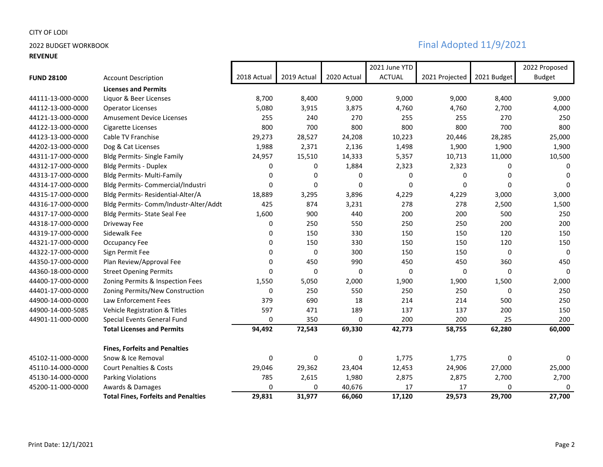## **REVENUE**

|                   |                                            |              |             |             | 2021 June YTD |                |             | 2022 Proposed |
|-------------------|--------------------------------------------|--------------|-------------|-------------|---------------|----------------|-------------|---------------|
| <b>FUND 28100</b> | <b>Account Description</b>                 | 2018 Actual  | 2019 Actual | 2020 Actual | <b>ACTUAL</b> | 2021 Projected | 2021 Budget | <b>Budget</b> |
|                   | <b>Licenses and Permits</b>                |              |             |             |               |                |             |               |
| 44111-13-000-0000 | Liquor & Beer Licenses                     | 8,700        | 8,400       | 9,000       | 9,000         | 9,000          | 8,400       | 9,000         |
| 44112-13-000-0000 | <b>Operator Licenses</b>                   | 5,080        | 3,915       | 3,875       | 4,760         | 4,760          | 2,700       | 4,000         |
| 44121-13-000-0000 | <b>Amusement Device Licenses</b>           | 255          | 240         | 270         | 255           | 255            | 270         | 250           |
| 44122-13-000-0000 | Cigarette Licenses                         | 800          | 700         | 800         | 800           | 800            | 700         | 800           |
| 44123-13-000-0000 | Cable TV Franchise                         | 29,273       | 28,527      | 24,208      | 10,223        | 20,446         | 28,285      | 25,000        |
| 44202-13-000-0000 | Dog & Cat Licenses                         | 1,988        | 2,371       | 2,136       | 1,498         | 1,900          | 1,900       | 1,900         |
| 44311-17-000-0000 | <b>Bldg Permits- Single Family</b>         | 24,957       | 15,510      | 14,333      | 5,357         | 10,713         | 11,000      | 10,500        |
| 44312-17-000-0000 | <b>Bldg Permits - Duplex</b>               | 0            | 0           | 1,884       | 2,323         | 2,323          | 0           | $\Omega$      |
| 44313-17-000-0000 | Bldg Permits- Multi-Family                 | 0            | $\Omega$    | $\Omega$    | 0             | $\mathbf{0}$   | 0           | $\Omega$      |
| 44314-17-000-0000 | Bldg Permits- Commercial/Industri          | $\mathbf{0}$ | $\Omega$    | $\Omega$    | $\Omega$      | $\Omega$       | 0           | $\Omega$      |
| 44315-17-000-0000 | Bldg Permits- Residential-Alter/A          | 18,889       | 3,295       | 3,896       | 4,229         | 4,229          | 3,000       | 3,000         |
| 44316-17-000-0000 | Bldg Permits- Comm/Industr-Alter/Addt      | 425          | 874         | 3,231       | 278           | 278            | 2,500       | 1,500         |
| 44317-17-000-0000 | Bldg Permits- State Seal Fee               | 1,600        | 900         | 440         | 200           | 200            | 500         | 250           |
| 44318-17-000-0000 | Driveway Fee                               | 0            | 250         | 550         | 250           | 250            | 200         | 200           |
| 44319-17-000-0000 | Sidewalk Fee                               | 0            | 150         | 330         | 150           | 150            | 120         | 150           |
| 44321-17-000-0000 | Occupancy Fee                              | 0            | 150         | 330         | 150           | 150            | 120         | 150           |
| 44322-17-000-0000 | Sign Permit Fee                            | 0            | 0           | 300         | 150           | 150            | 0           | $\Omega$      |
| 44350-17-000-0000 | Plan Review/Approval Fee                   | 0            | 450         | 990         | 450           | 450            | 360         | 450           |
| 44360-18-000-0000 | <b>Street Opening Permits</b>              | 0            | 0           | 0           | 0             | 0              | 0           | 0             |
| 44400-17-000-0000 | Zoning Permits & Inspection Fees           | 1,550        | 5,050       | 2,000       | 1,900         | 1,900          | 1,500       | 2,000         |
| 44401-17-000-0000 | Zoning Permits/New Construction            | 0            | 250         | 550         | 250           | 250            | 0           | 250           |
| 44900-14-000-0000 | Law Enforcement Fees                       | 379          | 690         | 18          | 214           | 214            | 500         | 250           |
| 44900-14-000-5085 | Vehicle Registration & Titles              | 597          | 471         | 189         | 137           | 137            | 200         | 150           |
| 44901-11-000-0000 | Special Events General Fund                | 0            | 350         | 0           | 200           | 200            | 25          | 200           |
|                   | <b>Total Licenses and Permits</b>          | 94,492       | 72,543      | 69,330      | 42,773        | 58,755         | 62,280      | 60,000        |
|                   | <b>Fines, Forfeits and Penalties</b>       |              |             |             |               |                |             |               |
| 45102-11-000-0000 | Snow & Ice Removal                         | 0            | 0           | 0           | 1,775         | 1,775          | 0           | 0             |
| 45110-14-000-0000 | <b>Court Penalties &amp; Costs</b>         | 29,046       | 29,362      | 23,404      | 12,453        | 24,906         | 27,000      | 25,000        |
| 45130-14-000-0000 | <b>Parking Violations</b>                  | 785          | 2,615       | 1,980       | 2,875         | 2,875          | 2,700       | 2,700         |
| 45200-11-000-0000 | Awards & Damages                           | 0            | 0           | 40,676      | 17            | 17             | 0           | 0             |
|                   | <b>Total Fines, Forfeits and Penalties</b> | 29,831       | 31,977      | 66,060      | 17,120        | 29,573         | 29,700      | 27,700        |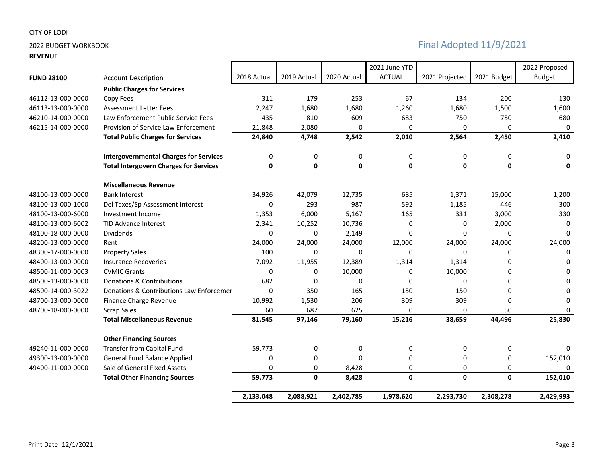**REVENUE**

|                   |                                               |              |              |              | 2021 June YTD |                |              | 2022 Proposed |
|-------------------|-----------------------------------------------|--------------|--------------|--------------|---------------|----------------|--------------|---------------|
| <b>FUND 28100</b> | <b>Account Description</b>                    | 2018 Actual  | 2019 Actual  | 2020 Actual  | <b>ACTUAL</b> | 2021 Projected | 2021 Budget  | <b>Budget</b> |
|                   | <b>Public Charges for Services</b>            |              |              |              |               |                |              |               |
| 46112-13-000-0000 | Copy Fees                                     | 311          | 179          | 253          | 67            | 134            | 200          | 130           |
| 46113-13-000-0000 | <b>Assessment Letter Fees</b>                 | 2,247        | 1,680        | 1,680        | 1,260         | 1,680          | 1,500        | 1,600         |
| 46210-14-000-0000 | Law Enforcement Public Service Fees           | 435          | 810          | 609          | 683           | 750            | 750          | 680           |
| 46215-14-000-0000 | Provision of Service Law Enforcement          | 21,848       | 2,080        | $\Omega$     | 0             | 0              | $\Omega$     | 0             |
|                   | <b>Total Public Charges for Services</b>      | 24,840       | 4,748        | 2,542        | 2,010         | 2,564          | 2,450        | 2,410         |
|                   | <b>Intergovernmental Charges for Services</b> | 0            | $\mathbf 0$  | 0            | 0             | 0              | 0            | 0             |
|                   | <b>Total Intergovern Charges for Services</b> | $\mathbf{0}$ | $\mathbf{0}$ | $\mathbf{0}$ | $\mathbf{0}$  | $\mathbf{0}$   | $\mathbf{0}$ | $\mathbf{0}$  |
|                   | <b>Miscellaneous Revenue</b>                  |              |              |              |               |                |              |               |
| 48100-13-000-0000 | <b>Bank Interest</b>                          | 34,926       | 42,079       | 12,735       | 685           | 1,371          | 15,000       | 1,200         |
| 48100-13-000-1000 | Del Taxes/Sp Assessment interest              | $\Omega$     | 293          | 987          | 592           | 1,185          | 446          | 300           |
| 48100-13-000-6000 | Investment Income                             | 1,353        | 6,000        | 5,167        | 165           | 331            | 3,000        | 330           |
| 48100-13-000-6002 | <b>TID Advance Interest</b>                   | 2,341        | 10,252       | 10,736       | 0             | 0              | 2,000        | 0             |
| 48100-18-000-0000 | <b>Dividends</b>                              | 0            | 0            | 2,149        | $\Omega$      | 0              | $\Omega$     | <sup>0</sup>  |
| 48200-13-000-0000 | Rent                                          | 24,000       | 24,000       | 24,000       | 12,000        | 24,000         | 24,000       | 24,000        |
| 48300-17-000-0000 | <b>Property Sales</b>                         | 100          | 0            | 0            | 0             | 0              | 0            | 0             |
| 48400-13-000-0000 | <b>Insurance Recoveries</b>                   | 7,092        | 11,955       | 12,389       | 1,314         | 1,314          | 0            | $\Omega$      |
| 48500-11-000-0003 | <b>CVMIC Grants</b>                           | $\mathbf 0$  | 0            | 10,000       | 0             | 10,000         | 0            | $\Omega$      |
| 48500-13-000-0000 | Donations & Contributions                     | 682          | 0            | 0            | 0             | 0              | $\Omega$     | $\Omega$      |
| 48500-14-000-3022 | Donations & Contributions Law Enforcemer      | 0            | 350          | 165          | 150           | 150            | 0            | $\Omega$      |
| 48700-13-000-0000 | Finance Charge Revenue                        | 10,992       | 1,530        | 206          | 309           | 309            | $\Omega$     | $\Omega$      |
| 48700-18-000-0000 | <b>Scrap Sales</b>                            | 60           | 687          | 625          | 0             | 0              | 50           | 0             |
|                   | <b>Total Miscellaneous Revenue</b>            | 81,545       | 97,146       | 79,160       | 15,216        | 38,659         | 44,496       | 25,830        |
|                   | <b>Other Financing Sources</b>                |              |              |              |               |                |              |               |
| 49240-11-000-0000 | Transfer from Capital Fund                    | 59,773       | 0            | 0            | $\pmb{0}$     | 0              | 0            | 0             |
| 49300-13-000-0000 | General Fund Balance Applied                  | 0            | 0            | 0            | 0             | 0              | 0            | 152,010       |
| 49400-11-000-0000 | Sale of General Fixed Assets                  | 0            | 0            | 8,428        | 0             | 0              | 0            |               |
|                   | <b>Total Other Financing Sources</b>          | 59,773       | $\mathbf 0$  | 8,428        | $\mathbf 0$   | $\mathbf 0$    | 0            | 152,010       |
|                   |                                               | 2,133,048    | 2,088,921    | 2,402,785    | 1,978,620     | 2,293,730      | 2,308,278    | 2,429,993     |